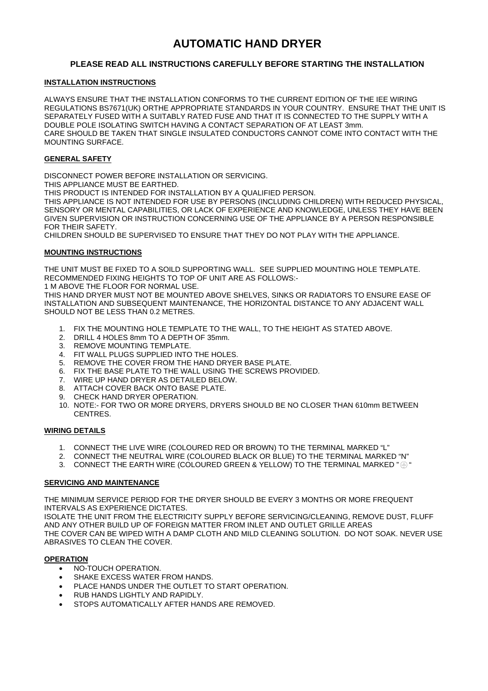# **AUTOMATIC HAND DRYER**

# **PLEASE READ ALL INSTRUCTIONS CAREFULLY BEFORE STARTING THE INSTALLATION**

## **INSTALLATION INSTRUCTIONS**

ALWAYS ENSURE THAT THE INSTALLATION CONFORMS TO THE CURRENT EDITION OF THE IEE WIRING REGULATIONS BS7671(UK) ORTHE APPROPRIATE STANDARDS IN YOUR COUNTRY. ENSURE THAT THE UNIT IS SEPARATELY FUSED WITH A SUITABLY RATED FUSE AND THAT IT IS CONNECTED TO THE SUPPLY WITH A DOUBLE POLE ISOLATING SWITCH HAVING A CONTACT SEPARATION OF AT LEAST 3mm. CARE SHOULD BE TAKEN THAT SINGLE INSULATED CONDUCTORS CANNOT COME INTO CONTACT WITH THE MOUNTING SURFACE.

## **GENERAL SAFETY**

DISCONNECT POWER BEFORE INSTALLATION OR SERVICING.

THIS APPLIANCE MUST BE EARTHED.

THIS PRODUCT IS INTENDED FOR INSTALLATION BY A QUALIFIED PERSON.

THIS APPLIANCE IS NOT INTENDED FOR USE BY PERSONS (INCLUDING CHILDREN) WITH REDUCED PHYSICAL, SENSORY OR MENTAL CAPABILITIES, OR LACK OF EXPERIENCE AND KNOWLEDGE, UNLESS THEY HAVE BEEN GIVEN SUPERVISION OR INSTRUCTION CONCERNING USE OF THE APPLIANCE BY A PERSON RESPONSIBLE FOR THEIR SAFETY.

CHILDREN SHOULD BE SUPERVISED TO ENSURE THAT THEY DO NOT PLAY WITH THE APPLIANCE.

#### **MOUNTING INSTRUCTIONS**

THE UNIT MUST BE FIXED TO A SOILD SUPPORTING WALL. SEE SUPPLIED MOUNTING HOLE TEMPLATE. RECOMMENDED FIXING HEIGHTS TO TOP OF UNIT ARE AS FOLLOWS:-

1 M ABOVE THE FLOOR FOR NORMAL USE.

THIS HAND DRYER MUST NOT BE MOUNTED ABOVE SHELVES, SINKS OR RADIATORS TO ENSURE EASE OF INSTALLATION AND SUBSEQUENT MAINTENANCE, THE HORIZONTAL DISTANCE TO ANY ADJACENT WALL SHOULD NOT BE LESS THAN 0.2 METRES.

- 1. FIX THE MOUNTING HOLE TEMPLATE TO THE WALL, TO THE HEIGHT AS STATED ABOVE.
- 2. DRILL 4 HOLES 8mm TO A DEPTH OF 35mm.
- 3. REMOVE MOUNTING TEMPLATE.
- 4. FIT WALL PLUGS SUPPLIED INTO THE HOLES.
- 5. REMOVE THE COVER FROM THE HAND DRYER BASE PLATE.
- 6. FIX THE BASE PLATE TO THE WALL USING THE SCREWS PROVIDED.
- 7. WIRE UP HAND DRYER AS DETAILED BELOW.
- 8. ATTACH COVER BACK ONTO BASE PLATE.
- 9. CHECK HAND DRYER OPERATION.
- 10. NOTE:- FOR TWO OR MORE DRYERS, DRYERS SHOULD BE NO CLOSER THAN 610mm BETWEEN CENTRES.

#### **WIRING DETAILS**

- 1. CONNECT THE LIVE WIRE (COLOURED RED OR BROWN) TO THE TERMINAL MARKED "L"
- 2. CONNECT THE NEUTRAL WIRE (COLOURED BLACK OR BLUE) TO THE TERMINAL MARKED "N"
- 3. CONNECT THE EARTH WIRE (COLOURED GREEN & YELLOW) TO THE TERMINAL MARKED  $\textdegree\oplus\textdegree$

#### **SERVICING AND MAINTENANCE**

THE MINIMUM SERVICE PERIOD FOR THE DRYER SHOULD BE EVERY 3 MONTHS OR MORE FREQUENT INTERVALS AS EXPERIENCE DICTATES.

ISOLATE THE UNIT FROM THE ELECTRICITY SUPPLY BEFORE SERVICING/CLEANING, REMOVE DUST, FLUFF AND ANY OTHER BUILD UP OF FOREIGN MATTER FROM INLET AND OUTLET GRILLE AREAS THE COVER CAN BE WIPED WITH A DAMP CLOTH AND MILD CLEANING SOLUTION. DO NOT SOAK. NEVER USE ABRASIVES TO CLEAN THE COVER.

#### **OPERATION**

- NO-TOUCH OPERATION.
- SHAKE EXCESS WATER FROM HANDS.
- PLACE HANDS UNDER THE OUTLET TO START OPERATION.
- RUB HANDS LIGHTLY AND RAPIDLY.
- STOPS AUTOMATICALLY AFTER HANDS ARE REMOVED.